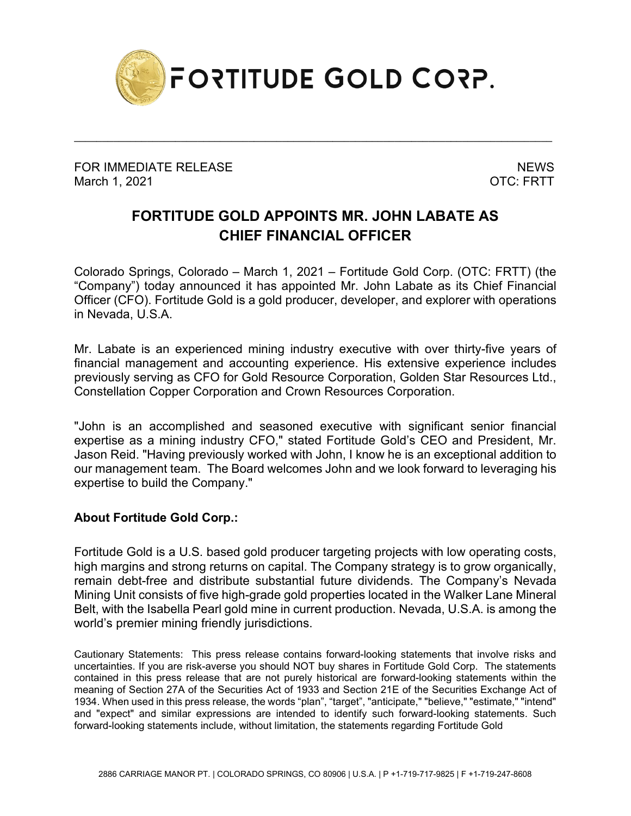

\_\_\_\_\_\_\_\_\_\_\_\_\_\_\_\_\_\_\_\_\_\_\_\_\_\_\_\_\_\_\_\_\_\_\_\_\_\_\_\_\_\_\_\_\_\_\_\_\_\_\_\_\_\_\_\_\_\_\_\_\_\_\_\_\_\_\_\_\_\_\_\_\_\_\_\_\_\_\_\_\_\_\_\_\_

FOR IMMEDIATE RELEASE NEWS AND THE MEMORY OF THE SERIES OF THE SERIES OF THE SERIES OF THE SERIES OF THE SERIES OF THE SERIES OF THE SERIES OF THE SERIES OF THE SERIES OF THE SERIES OF THE SERIES OF THE SERIES OF THE SERIE March 1, 2021 **OTC: FRTT** 

## **FORTITUDE GOLD APPOINTS MR. JOHN LABATE AS CHIEF FINANCIAL OFFICER**

Colorado Springs, Colorado – March 1, 2021 – Fortitude Gold Corp. (OTC: FRTT) (the "Company") today announced it has appointed Mr. John Labate as its Chief Financial Officer (CFO). Fortitude Gold is a gold producer, developer, and explorer with operations in Nevada, U.S.A.

Mr. Labate is an experienced mining industry executive with over thirty-five years of financial management and accounting experience. His extensive experience includes previously serving as CFO for Gold Resource Corporation, Golden Star Resources Ltd., Constellation Copper Corporation and Crown Resources Corporation.

"John is an accomplished and seasoned executive with significant senior financial expertise as a mining industry CFO," stated Fortitude Gold's CEO and President, Mr. Jason Reid. "Having previously worked with John, I know he is an exceptional addition to our management team. The Board welcomes John and we look forward to leveraging his expertise to build the Company."

## **About Fortitude Gold Corp.:**

Fortitude Gold is a U.S. based gold producer targeting projects with low operating costs, high margins and strong returns on capital. The Company strategy is to grow organically, remain debt-free and distribute substantial future dividends. The Company's Nevada Mining Unit consists of five high-grade gold properties located in the Walker Lane Mineral Belt, with the Isabella Pearl gold mine in current production. Nevada, U.S.A. is among the world's premier mining friendly jurisdictions.

Cautionary Statements: This press release contains forward-looking statements that involve risks and uncertainties. If you are risk-averse you should NOT buy shares in Fortitude Gold Corp. The statements contained in this press release that are not purely historical are forward-looking statements within the meaning of Section 27A of the Securities Act of 1933 and Section 21E of the Securities Exchange Act of 1934. When used in this press release, the words "plan", "target", "anticipate," "believe," "estimate," "intend" and "expect" and similar expressions are intended to identify such forward-looking statements. Such forward-looking statements include, without limitation, the statements regarding Fortitude Gold